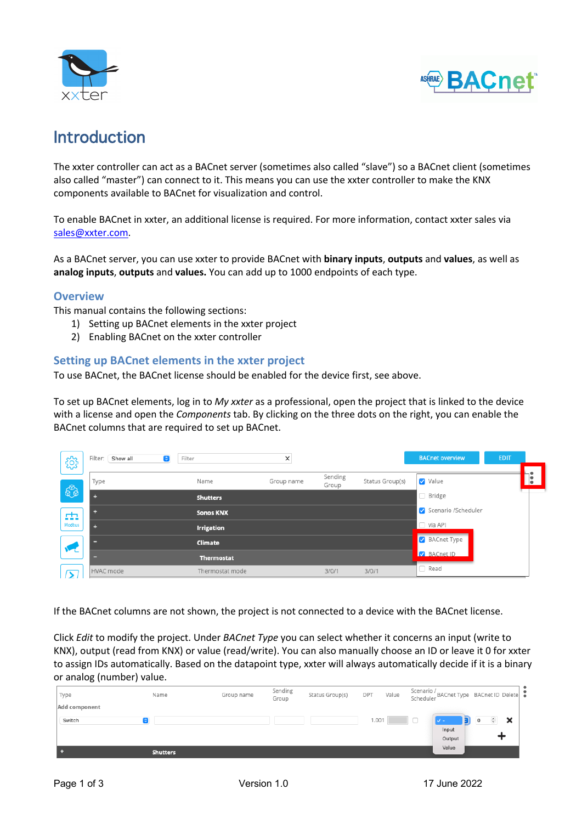



# Introduction

The xxter controller can act as a BACnet server (sometimes also called "slave") so a BACnet client (sometimes also called "master") can connect to it. This means you can use the xxter controller to make the KNX components available to BACnet for visualization and control.

To enable BACnet in xxter, an additional license is required. For more information, contact xxter sales via sales@xxter.com.

As a BACnet server, you can use xxter to provide BACnet with **binary inputs**, **outputs** and **values**, as well as **analog inputs**, **outputs** and **values.** You can add up to 1000 endpoints of each type.

#### **Overview**

This manual contains the following sections:

- 1) Setting up BACnet elements in the xxter project
- 2) Enabling BACnet on the xxter controller

## **Setting up BACnet elements in the xxter project**

To use BACnet, the BACnet license should be enabled for the device first, see above.

To set up BACnet elements, log in to *My xxter* as a professional, open the project that is linked to the device with a license and open the *Components* tab. By clicking on the three dots on the right, you can enable the BACnet columns that are required to set up BACnet.

| ౘౢ     | Show all<br>Filter:<br>Θ | Filter            | ×          |                  |                 | <b>BACnet overview</b> | <b>EDIT</b> |                  |
|--------|--------------------------|-------------------|------------|------------------|-----------------|------------------------|-------------|------------------|
|        | Type                     | Name              | Group name | Sending<br>Group | Status Group(s) | Value                  |             | h۴<br>∣∣●<br>∣∣∙ |
| €      | ٠                        | <b>Shutters</b>   |            |                  |                 | □ Bridge               |             |                  |
| sta    |                          | <b>Sonos KNX</b>  |            |                  |                 | Scenario /Scheduler    |             |                  |
| Modbus | ۰                        | <b>Irrigation</b> |            |                  |                 | $\Box$ via API         |             |                  |
|        |                          | <b>Climate</b>    |            |                  |                 | BACnet Type            |             |                  |
|        | -                        | <b>Thermostat</b> |            |                  |                 | BACnet ID              |             |                  |
| $\geq$ | HVAC mode                | Thermostat mode   |            | 3/0/1            | 3/0/1           | $\Box$ Read            |             |                  |

If the BACnet columns are not shown, the project is not connected to a device with the BACnet license.

Click *Edit* to modify the project. Under *BACnet Type* you can select whether it concerns an input (write to KNX), output (read from KNX) or value (read/write). You can also manually choose an ID or leave it 0 for xxter to assign IDs automatically. Based on the datapoint type, xxter will always automatically decide if it is a binary or analog (number) value.

| Type                    | Name            | Group name | Sending<br>Group | Status Group(s) | DPT   | Value | Scenario /<br>Scheduler BACnet Type BACnet ID Delete |                          |   |
|-------------------------|-----------------|------------|------------------|-----------------|-------|-------|------------------------------------------------------|--------------------------|---|
| Add component<br>Switch |                 |            |                  |                 | 1.001 |       |                                                      | $\hat{\cdot}$<br>$\circ$ | × |
|                         |                 |            |                  |                 |       |       | Input                                                |                          |   |
|                         | <b>Shutters</b> |            |                  |                 |       |       | Output<br>Value                                      |                          |   |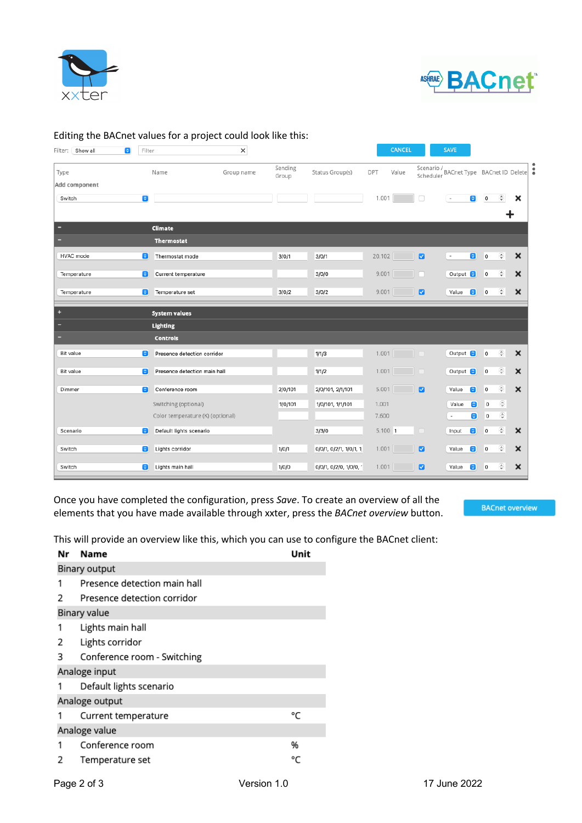



### Editing the BACnet values for a project could look like this:

| Filter: Show all<br>$\bullet$ | Filter                               | $\times$   |                  |                        |         | <b>CANCEL</b> |                         | <b>SAVE</b>                  |                      |                             |                           |
|-------------------------------|--------------------------------------|------------|------------------|------------------------|---------|---------------|-------------------------|------------------------------|----------------------|-----------------------------|---------------------------|
| Type                          | Name                                 | Group name | Sending<br>Group | Status Group(s)        | DPT     | Value         | Scenario /<br>Scheduler | BACnet Type BACnet ID Delete |                      |                             |                           |
| Add component                 |                                      |            |                  |                        |         |               |                         |                              |                      |                             |                           |
| Switch                        | $\hat{\mathbf{c}}$                   |            |                  |                        | 1.001   |               | □                       | $\sim$                       | $\bullet$<br>$\circ$ | $\frac{1}{2}$               | ×                         |
|                               |                                      |            |                  |                        |         |               |                         |                              |                      |                             |                           |
|                               | Climate                              |            |                  |                        |         |               |                         |                              |                      |                             |                           |
|                               | <b>Thermostat</b>                    |            |                  |                        |         |               |                         |                              |                      |                             |                           |
| HVAC mode                     | Θ<br>Thermostat mode                 |            | 3/0/1            | 3/0/1                  | 20.102  |               | $\blacksquare$          | $\overline{\phantom{a}}$     | $\bullet$<br>0       | $\hat{\cdot}$               | ×                         |
| Temperature                   | Current temperature<br>e             |            |                  | 3/0/0                  | 9.001   |               |                         | Output <b>C</b>              | $\circ$              | $\hat{\cdot}$               | $\boldsymbol{\mathsf{x}}$ |
| Temperature                   | Temperature set<br>Θ                 |            | 3/0/2            | 3/0/2                  | 9.001   |               | ø                       | Value                        | $\circ$<br>$\bullet$ | $\hat{\cdot}$               | ×                         |
| ۰                             | <b>System values</b>                 |            |                  |                        |         |               |                         |                              |                      |                             |                           |
|                               | <b>Lighting</b>                      |            |                  |                        |         |               |                         |                              |                      |                             |                           |
|                               | <b>Controls</b>                      |            |                  |                        |         |               |                         |                              |                      |                             |                           |
| Bit value                     | Θ<br>Presence detection corridor     |            |                  | 1/1/3                  |         | 1.001         |                         | Output <b>C</b>              | $\circ$              | $\hat{\boldsymbol{\cdot} }$ | ×                         |
| Bit value                     | Presence detection main hall<br>Θ    |            |                  | 1/1/2                  |         | 1.001         |                         | Output <b>8</b>              | $\circ$              | $\hat{\cdot}$               | ×                         |
| Dimmer                        | $\bullet$<br>Conference room         |            | 2/0/101          | 2/0/101, 2/1/101       | 5.001   |               | $\blacksquare$          | Value                        | $\circ$<br>$\bullet$ | $\hat{\cdot}$               | $\boldsymbol{\mathsf{x}}$ |
|                               | Switching (optional)                 |            | 1/0/101          | 1/0/101, 1/1/101       | 1.001   |               |                         | Value                        | G                    | $\hat{\cdot}$<br>$\circ$    |                           |
|                               | Color temperature (K) (optional)     |            |                  |                        | 7.600   |               |                         | $\overline{\phantom{a}}$     | $\bullet$            | $\hat{\cdot}$<br>$\circ$    |                           |
| Scenario                      | $\bullet$<br>Default lights scenario |            |                  | 3/3/0                  | 5.100 1 |               | o                       | Input                        | a<br>$\circ$         | $\frac{\epsilon}{2}$        | $\boldsymbol{\mathsf{x}}$ |
| Switch                        | G<br>Lights corridor                 |            | 1/0/1            | 0/0/1, 0/2/1, 1/0/1, 1 | 1.001   |               | $\overline{a}$          | Value                        | Θ<br>$\circ$         | $\hat{\cdot}$               | ×                         |
|                               |                                      |            |                  |                        |         |               |                         |                              |                      |                             |                           |
|                               |                                      |            |                  |                        |         |               | ø                       |                              |                      |                             |                           |

Once you have completed the configuration, press *Save*. To create an overview of all the elements that you have made available through xxter, press the *BACnet overview* button.

**BACnet overview** 

This will provide an overview like this, which you can use to configure the BACnet client:

| Nr             | Name                         | Unit |  |  |  |  |  |  |
|----------------|------------------------------|------|--|--|--|--|--|--|
|                | <b>Binary output</b>         |      |  |  |  |  |  |  |
| 1              | Presence detection main hall |      |  |  |  |  |  |  |
| 2              | Presence detection corridor  |      |  |  |  |  |  |  |
|                | <b>Binary value</b>          |      |  |  |  |  |  |  |
| 1              | Lights main hall             |      |  |  |  |  |  |  |
| 2              | Lights corridor              |      |  |  |  |  |  |  |
| 3              | Conference room - Switching  |      |  |  |  |  |  |  |
|                | Analoge input                |      |  |  |  |  |  |  |
|                | Default lights scenario      |      |  |  |  |  |  |  |
| Analoge output |                              |      |  |  |  |  |  |  |
|                | Current temperature          | °C   |  |  |  |  |  |  |
| Analoge value  |                              |      |  |  |  |  |  |  |
| 1              | Conference room              | %    |  |  |  |  |  |  |
| 2              | Temperature set              | °C   |  |  |  |  |  |  |